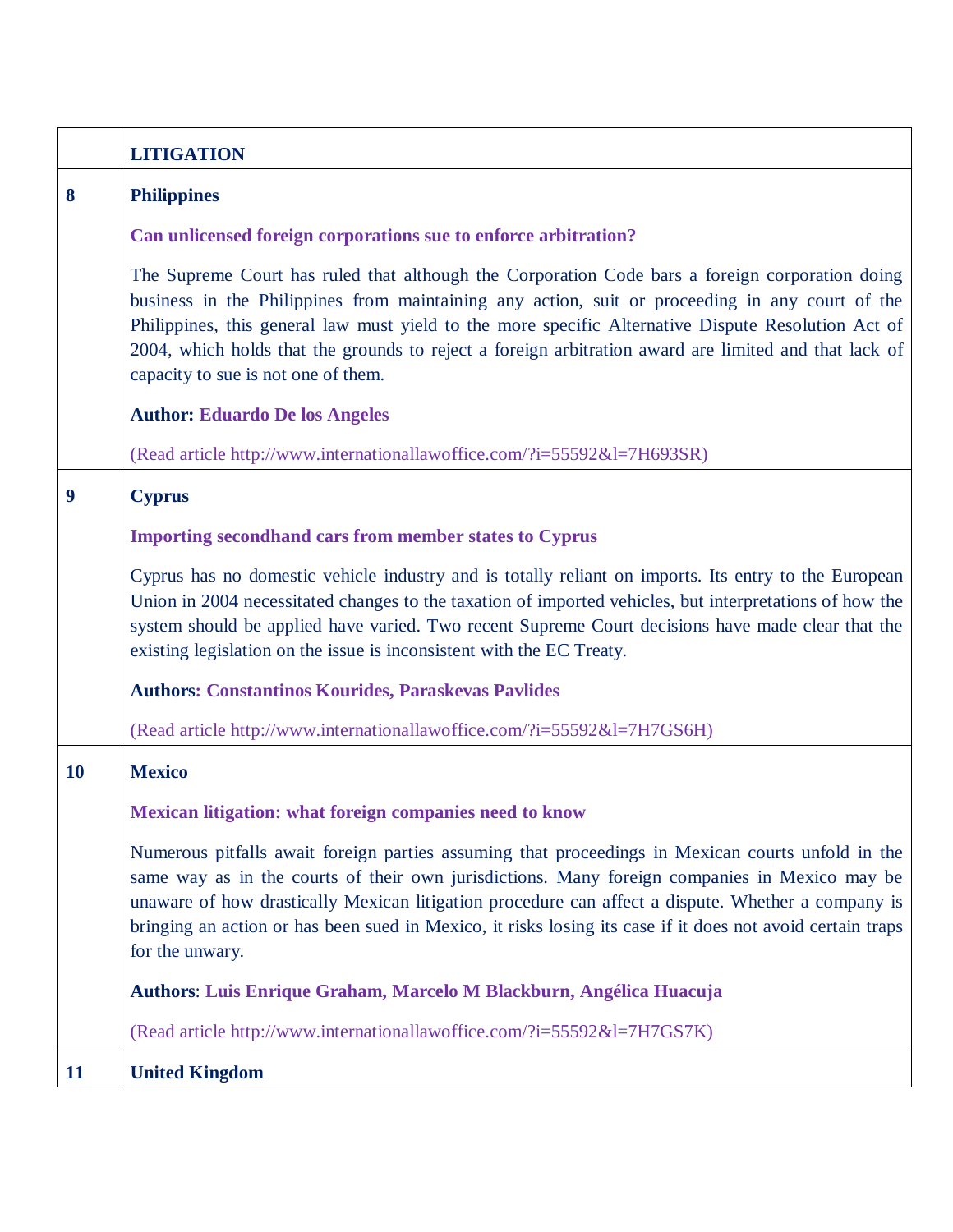|           | <b>LITIGATION</b>                                                                                                                                                                                                                                                                                                                                                                                                                                         |
|-----------|-----------------------------------------------------------------------------------------------------------------------------------------------------------------------------------------------------------------------------------------------------------------------------------------------------------------------------------------------------------------------------------------------------------------------------------------------------------|
| 8         | <b>Philippines</b>                                                                                                                                                                                                                                                                                                                                                                                                                                        |
|           | Can unlicensed foreign corporations sue to enforce arbitration?                                                                                                                                                                                                                                                                                                                                                                                           |
|           | The Supreme Court has ruled that although the Corporation Code bars a foreign corporation doing<br>business in the Philippines from maintaining any action, suit or proceeding in any court of the<br>Philippines, this general law must yield to the more specific Alternative Dispute Resolution Act of<br>2004, which holds that the grounds to reject a foreign arbitration award are limited and that lack of<br>capacity to sue is not one of them. |
|           | <b>Author: Eduardo De los Angeles</b>                                                                                                                                                                                                                                                                                                                                                                                                                     |
|           | (Read article http://www.internationallawoffice.com/?i=55592&l=7H693SR)                                                                                                                                                                                                                                                                                                                                                                                   |
| 9         | <b>Cyprus</b>                                                                                                                                                                                                                                                                                                                                                                                                                                             |
|           | <b>Importing secondhand cars from member states to Cyprus</b>                                                                                                                                                                                                                                                                                                                                                                                             |
|           | Cyprus has no domestic vehicle industry and is totally reliant on imports. Its entry to the European<br>Union in 2004 necessitated changes to the taxation of imported vehicles, but interpretations of how the<br>system should be applied have varied. Two recent Supreme Court decisions have made clear that the<br>existing legislation on the issue is inconsistent with the EC Treaty.                                                             |
|           | <b>Authors: Constantinos Kourides, Paraskevas Pavlides</b>                                                                                                                                                                                                                                                                                                                                                                                                |
|           | (Read article http://www.internationallawoffice.com/?i=55592&l=7H7GS6H)                                                                                                                                                                                                                                                                                                                                                                                   |
| <b>10</b> | <b>Mexico</b>                                                                                                                                                                                                                                                                                                                                                                                                                                             |
|           | Mexican litigation: what foreign companies need to know                                                                                                                                                                                                                                                                                                                                                                                                   |
|           | Numerous pitfalls await foreign parties assuming that proceedings in Mexican courts unfold in the<br>same way as in the courts of their own jurisdictions. Many foreign companies in Mexico may be<br>unaware of how drastically Mexican litigation procedure can affect a dispute. Whether a company is<br>bringing an action or has been sued in Mexico, it risks losing its case if it does not avoid certain traps<br>for the unwary.                 |
|           | Authors: Luis Enrique Graham, Marcelo M Blackburn, Angélica Huacuja                                                                                                                                                                                                                                                                                                                                                                                       |
|           | (Read article http://www.internationallawoffice.com/?i=55592&l=7H7GS7K)                                                                                                                                                                                                                                                                                                                                                                                   |
| 11        | <b>United Kingdom</b>                                                                                                                                                                                                                                                                                                                                                                                                                                     |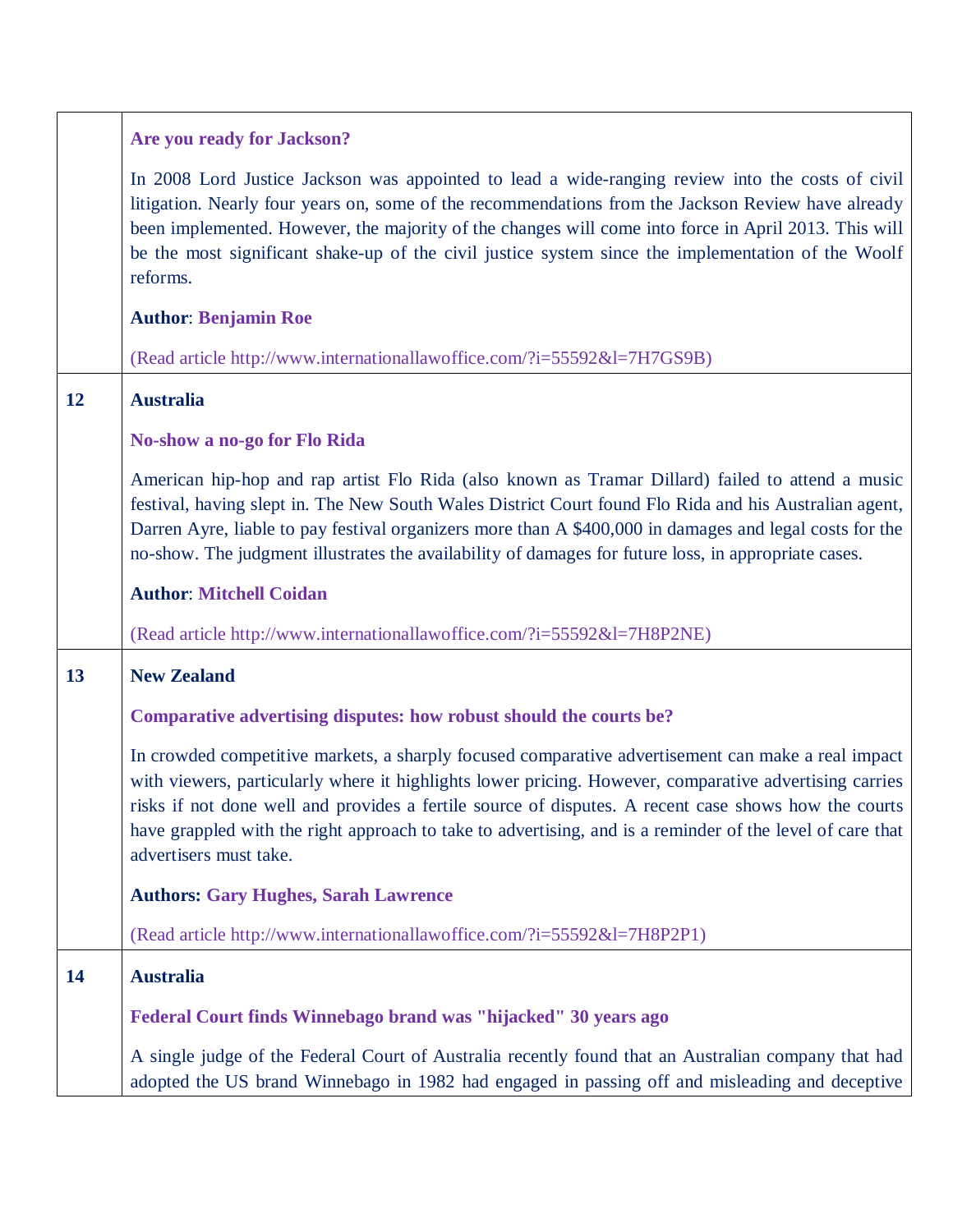|    | Are you ready for Jackson?                                                                                                                                                                                                                                                                                                                                                                                                                                  |
|----|-------------------------------------------------------------------------------------------------------------------------------------------------------------------------------------------------------------------------------------------------------------------------------------------------------------------------------------------------------------------------------------------------------------------------------------------------------------|
|    | In 2008 Lord Justice Jackson was appointed to lead a wide-ranging review into the costs of civil<br>litigation. Nearly four years on, some of the recommendations from the Jackson Review have already<br>been implemented. However, the majority of the changes will come into force in April 2013. This will<br>be the most significant shake-up of the civil justice system since the implementation of the Woolf<br>reforms.                            |
|    | <b>Author: Benjamin Roe</b>                                                                                                                                                                                                                                                                                                                                                                                                                                 |
|    | (Read article http://www.internationallawoffice.com/?i=55592&l=7H7GS9B)                                                                                                                                                                                                                                                                                                                                                                                     |
| 12 | <b>Australia</b>                                                                                                                                                                                                                                                                                                                                                                                                                                            |
|    | <b>No-show a no-go for Flo Rida</b>                                                                                                                                                                                                                                                                                                                                                                                                                         |
|    | American hip-hop and rap artist Flo Rida (also known as Tramar Dillard) failed to attend a music<br>festival, having slept in. The New South Wales District Court found Flo Rida and his Australian agent,<br>Darren Ayre, liable to pay festival organizers more than A \$400,000 in damages and legal costs for the<br>no-show. The judgment illustrates the availability of damages for future loss, in appropriate cases.                               |
|    | <b>Author: Mitchell Coidan</b>                                                                                                                                                                                                                                                                                                                                                                                                                              |
|    | (Read article http://www.internationallawoffice.com/?i=55592&l=7H8P2NE)                                                                                                                                                                                                                                                                                                                                                                                     |
| 13 | <b>New Zealand</b>                                                                                                                                                                                                                                                                                                                                                                                                                                          |
|    | Comparative advertising disputes: how robust should the courts be?                                                                                                                                                                                                                                                                                                                                                                                          |
|    | In crowded competitive markets, a sharply focused comparative advertisement can make a real impact<br>with viewers, particularly where it highlights lower pricing. However, comparative advertising carries<br>risks if not done well and provides a fertile source of disputes. A recent case shows how the courts<br>have grappled with the right approach to take to advertising, and is a reminder of the level of care that<br>advertisers must take. |
|    | <b>Authors: Gary Hughes, Sarah Lawrence</b>                                                                                                                                                                                                                                                                                                                                                                                                                 |
|    | (Read article http://www.internationallawoffice.com/?i=55592&l=7H8P2P1)                                                                                                                                                                                                                                                                                                                                                                                     |
| 14 | <b>Australia</b>                                                                                                                                                                                                                                                                                                                                                                                                                                            |
|    | Federal Court finds Winnebago brand was "hijacked" 30 years ago                                                                                                                                                                                                                                                                                                                                                                                             |
|    | A single judge of the Federal Court of Australia recently found that an Australian company that had<br>adopted the US brand Winnebago in 1982 had engaged in passing off and misleading and deceptive                                                                                                                                                                                                                                                       |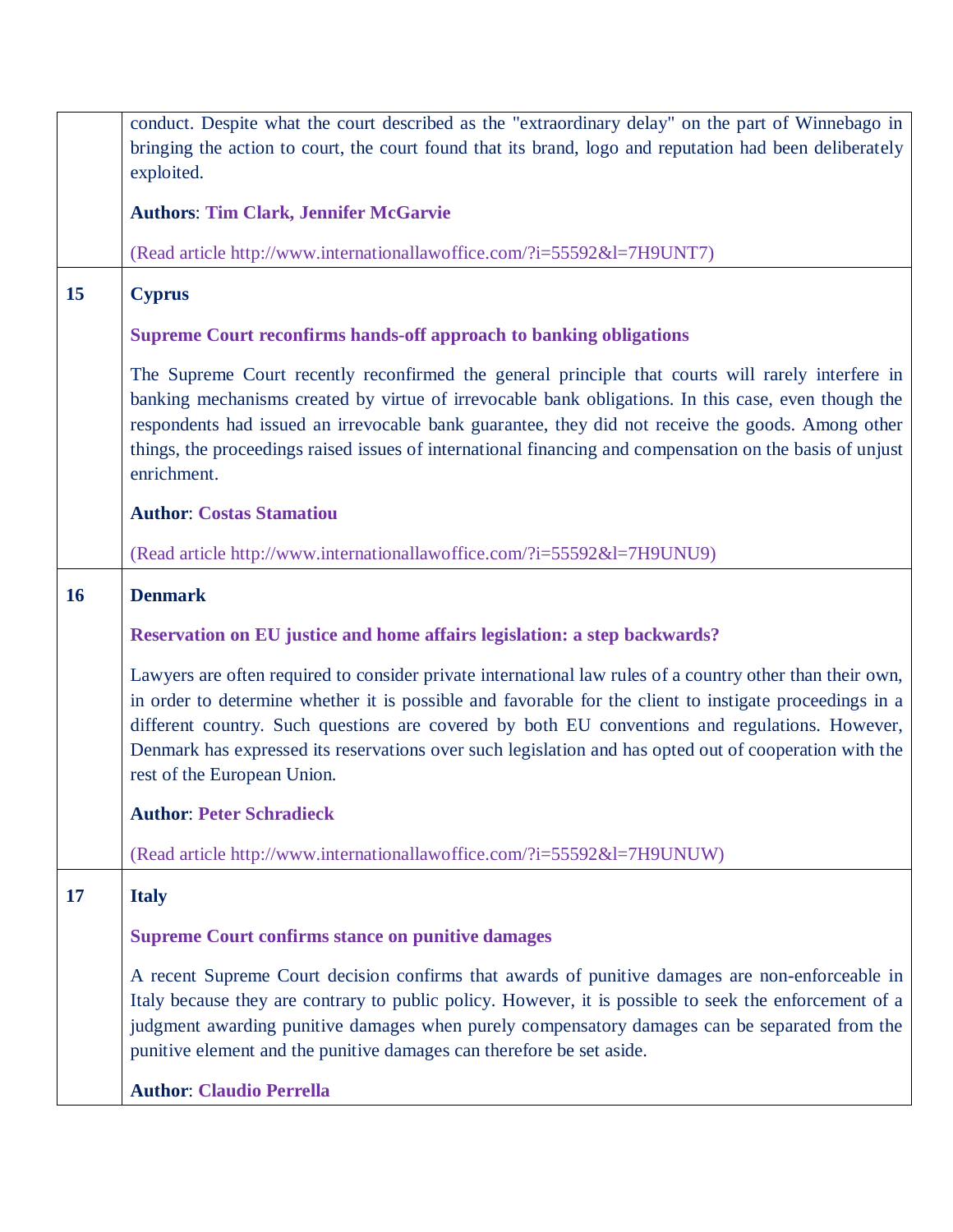|           | conduct. Despite what the court described as the "extraordinary delay" on the part of Winnebago in<br>bringing the action to court, the court found that its brand, logo and reputation had been deliberately                                                                                                                                                                                                                                                   |
|-----------|-----------------------------------------------------------------------------------------------------------------------------------------------------------------------------------------------------------------------------------------------------------------------------------------------------------------------------------------------------------------------------------------------------------------------------------------------------------------|
|           | exploited.                                                                                                                                                                                                                                                                                                                                                                                                                                                      |
|           | <b>Authors: Tim Clark, Jennifer McGarvie</b>                                                                                                                                                                                                                                                                                                                                                                                                                    |
|           | (Read article http://www.internationallawoffice.com/?i=55592&l=7H9UNT7)                                                                                                                                                                                                                                                                                                                                                                                         |
| 15        | <b>Cyprus</b>                                                                                                                                                                                                                                                                                                                                                                                                                                                   |
|           | <b>Supreme Court reconfirms hands-off approach to banking obligations</b>                                                                                                                                                                                                                                                                                                                                                                                       |
|           | The Supreme Court recently reconfirmed the general principle that courts will rarely interfere in<br>banking mechanisms created by virtue of irrevocable bank obligations. In this case, even though the<br>respondents had issued an irrevocable bank guarantee, they did not receive the goods. Among other<br>things, the proceedings raised issues of international financing and compensation on the basis of unjust<br>enrichment.                        |
|           | <b>Author: Costas Stamatiou</b>                                                                                                                                                                                                                                                                                                                                                                                                                                 |
|           | (Read article http://www.internationallawoffice.com/?i=55592&l=7H9UNU9)                                                                                                                                                                                                                                                                                                                                                                                         |
| <b>16</b> | <b>Denmark</b>                                                                                                                                                                                                                                                                                                                                                                                                                                                  |
|           | Reservation on EU justice and home affairs legislation: a step backwards?                                                                                                                                                                                                                                                                                                                                                                                       |
|           | Lawyers are often required to consider private international law rules of a country other than their own,<br>in order to determine whether it is possible and favorable for the client to instigate proceedings in a<br>different country. Such questions are covered by both EU conventions and regulations. However,<br>Denmark has expressed its reservations over such legislation and has opted out of cooperation with the<br>rest of the European Union. |
|           | <b>Author: Peter Schradieck</b>                                                                                                                                                                                                                                                                                                                                                                                                                                 |
|           | (Read article http://www.internationallawoffice.com/?i=55592&l=7H9UNUW)                                                                                                                                                                                                                                                                                                                                                                                         |
| 17        | <b>Italy</b>                                                                                                                                                                                                                                                                                                                                                                                                                                                    |
|           | <b>Supreme Court confirms stance on punitive damages</b>                                                                                                                                                                                                                                                                                                                                                                                                        |
|           | A recent Supreme Court decision confirms that awards of punitive damages are non-enforceable in<br>Italy because they are contrary to public policy. However, it is possible to seek the enforcement of a<br>judgment awarding punitive damages when purely compensatory damages can be separated from the<br>punitive element and the punitive damages can therefore be set aside.                                                                             |
|           | <b>Author: Claudio Perrella</b>                                                                                                                                                                                                                                                                                                                                                                                                                                 |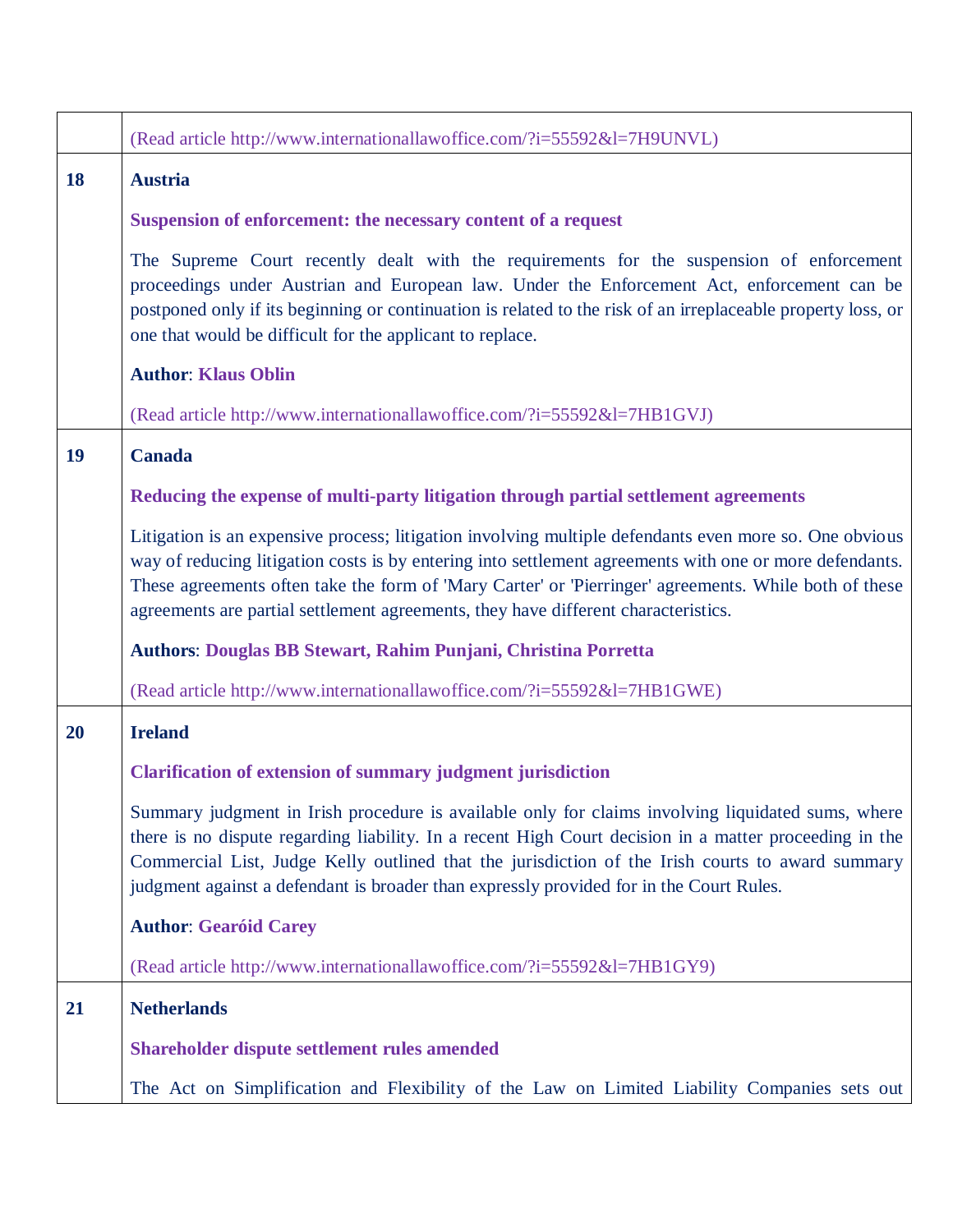|    | (Read article http://www.internationallawoffice.com/?i=55592&l=7H9UNVL)                                                                                                                                                                                                                                                                                                                                          |
|----|------------------------------------------------------------------------------------------------------------------------------------------------------------------------------------------------------------------------------------------------------------------------------------------------------------------------------------------------------------------------------------------------------------------|
| 18 | <b>Austria</b>                                                                                                                                                                                                                                                                                                                                                                                                   |
|    | Suspension of enforcement: the necessary content of a request                                                                                                                                                                                                                                                                                                                                                    |
|    | The Supreme Court recently dealt with the requirements for the suspension of enforcement<br>proceedings under Austrian and European law. Under the Enforcement Act, enforcement can be<br>postponed only if its beginning or continuation is related to the risk of an irreplaceable property loss, or<br>one that would be difficult for the applicant to replace.                                              |
|    | <b>Author: Klaus Oblin</b>                                                                                                                                                                                                                                                                                                                                                                                       |
|    | (Read article http://www.internationallawoffice.com/?i=55592&l=7HB1GVJ)                                                                                                                                                                                                                                                                                                                                          |
| 19 | <b>Canada</b>                                                                                                                                                                                                                                                                                                                                                                                                    |
|    | Reducing the expense of multi-party litigation through partial settlement agreements                                                                                                                                                                                                                                                                                                                             |
|    | Litigation is an expensive process; litigation involving multiple defendants even more so. One obvious<br>way of reducing litigation costs is by entering into settlement agreements with one or more defendants.<br>These agreements often take the form of 'Mary Carter' or 'Pierringer' agreements. While both of these<br>agreements are partial settlement agreements, they have different characteristics. |
|    | Authors: Douglas BB Stewart, Rahim Punjani, Christina Porretta                                                                                                                                                                                                                                                                                                                                                   |
|    | (Read article http://www.internationallawoffice.com/?i=55592&l=7HB1GWE)                                                                                                                                                                                                                                                                                                                                          |
| 20 | <b>Ireland</b>                                                                                                                                                                                                                                                                                                                                                                                                   |
|    | <b>Clarification of extension of summary judgment jurisdiction</b>                                                                                                                                                                                                                                                                                                                                               |
|    | Summary judgment in Irish procedure is available only for claims involving liquidated sums, where<br>there is no dispute regarding liability. In a recent High Court decision in a matter proceeding in the<br>Commercial List, Judge Kelly outlined that the jurisdiction of the Irish courts to award summary<br>judgment against a defendant is broader than expressly provided for in the Court Rules.       |
|    | <b>Author: Gearóid Carey</b>                                                                                                                                                                                                                                                                                                                                                                                     |
|    | (Read article http://www.internationallawoffice.com/?i=55592&l=7HB1GY9)                                                                                                                                                                                                                                                                                                                                          |
| 21 | <b>Netherlands</b>                                                                                                                                                                                                                                                                                                                                                                                               |
|    | Shareholder dispute settlement rules amended                                                                                                                                                                                                                                                                                                                                                                     |
|    | The Act on Simplification and Flexibility of the Law on Limited Liability Companies sets out                                                                                                                                                                                                                                                                                                                     |